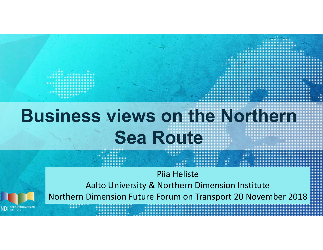# **Business views on the Northern Sea Route**

Piia Heliste Aalto University & Northern Dimension Institute Northern Dimension Future Forum on Transport 20 November 2018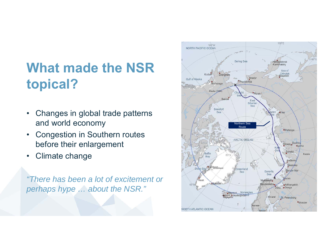#### **What made the NSR topical?**

- • Changes in global trade patterns and world economy
- • Congestion in Southern routes before their enlargement
- •Climate change

*"There has been a lot of excitement or perhaps hype … about the NSR."*

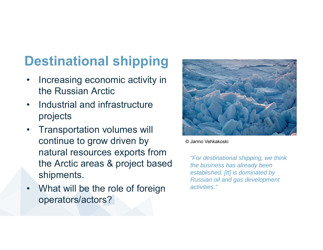#### **Destinational shipping**

- $\bullet$  Increasing economic activity in the Russian Arctic
- • Industrial and infrastructure projects
- $\bullet$  Transportation volumes will continue to grow driven by natural resources exports from the Arctic areas & project based shipments.
- • What will be the role of foreign operators/actors?



© Jarmo Vehkakoski

*"For destinational shipping, we think the business has already been established. [It] is dominated by Russian oil and gas development activities."*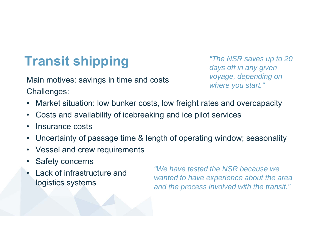## **Transit shipping** *<sup>"The NSR saves up to 20"* days off in any given</sup>

Main motives: savings in time and costs Challenges:

*voyage, depending on where you start."*

- $\bullet$ Market situation: low bunker costs, low freight rates and overcapacity
- $\bullet$ Costs and availability of icebreaking and ice pilot services
- •Insurance costs
- •Uncertainty of passage time & length of operating window; seasonality
- $\bullet$ Vessel and crew requirements
- •Safety concerns
- • Lack of infrastructure and logistics systems

*"We have tested the NSR because we wanted to have experience about the area and the process involved with the transit."*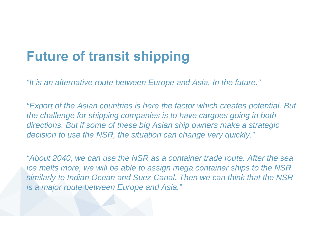#### **Future of transit shipping**

*"It is an alternative route between Europe and Asia. In the future."*

*"Export of the Asian countries is here the factor which creates potential. But the challenge for shipping companies is to have cargoes going in both directions. But if some of these big Asian ship owners make a strategic decision to use the NSR, the situation can change very quickly."*

*"About 2040, we can use the NSR as a container trade route. After the sea ice melts more, we will be able to assign mega container ships to the NSR similarly to Indian Ocean and Suez Canal. Then we can think that the NSR is a major route between Europe and Asia."*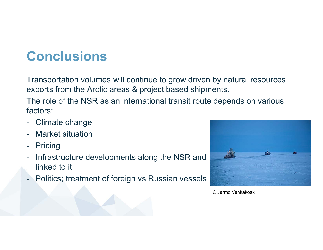### **Conclusions**

Transportation volumes will continue to grow driven by natural resources exports from the Arctic areas & project based shipments.

The role of the NSR as an international transit route depends on various factors:

- -Climate change
- Market situation
- -Pricing
- - Infrastructure developments along the NSR and linked to it
- Politics; treatment of foreign vs Russian vessels



© Jarmo Vehkakoski